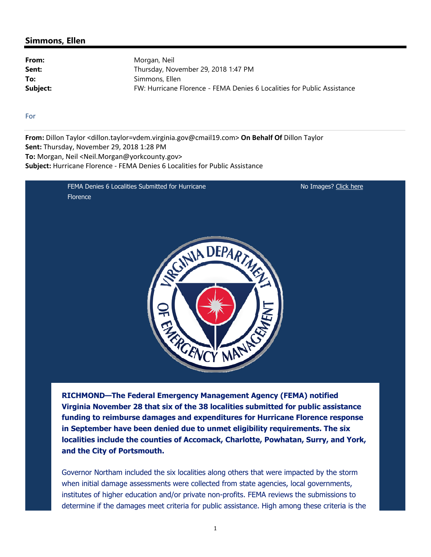#### **Simmons, Ellen**

From: Morgan, Neil Sent: Thursday, November 29, 2018 1:47 PM **To:** Simmons, Ellen **Subject:** FW: Hurricane Florence - FEMA Denies 6 Localities for Public Assistance

For

**From:** Dillon Taylor <dillon.taylor=vdem.virginia.gov@cmail19.com> **On Behalf Of** Dillon Taylor **Sent:** Thursday, November 29, 2018 1:28 PM **To:** Morgan, Neil <Neil.Morgan@yorkcounty.gov> **Subject:** Hurricane Florence ‐ FEMA Denies 6 Localities for Public Assistance

> FEMA Denies 6 Localities Submitted for Hurricane **Florence**

No Images? Click here



**RICHMOND—The Federal Emergency Management Agency (FEMA) notified Virginia November 28 that six of the 38 localities submitted for public assistance funding to reimburse damages and expenditures for Hurricane Florence response in September have been denied due to unmet eligibility requirements. The six localities include the counties of Accomack, Charlotte, Powhatan, Surry, and York, and the City of Portsmouth.**

Governor Northam included the six localities along others that were impacted by the storm when initial damage assessments were collected from state agencies, local governments, institutes of higher education and/or private non-profits. FEMA reviews the submissions to determine if the damages meet criteria for public assistance. High among these criteria is the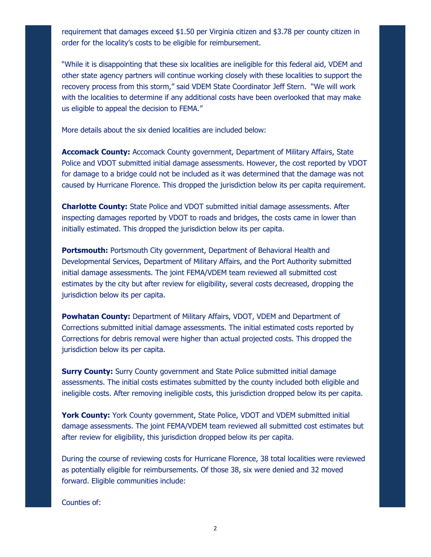requirement that damages exceed \$1.50 per Virginia citizen and \$3.78 per county citizen in order for the locality's costs to be eligible for reimbursement.

"While it is disappointing that these six localities are ineligible for this federal aid, VDEM and other state agency partners will continue working closely with these localities to support the recovery process from this storm," said VDEM State Coordinator Jeff Stern. "We will work with the localities to determine if any additional costs have been overlooked that may make us eligible to appeal the decision to FEMA."

More details about the six denied localities are included below:

**Accomack County:** Accomack County government, Department of Military Affairs, State Police and VDOT submitted initial damage assessments. However, the cost reported by VDOT for damage to a bridge could not be included as it was determined that the damage was not caused by Hurricane Florence. This dropped the jurisdiction below its per capita requirement.

**Charlotte County:** State Police and VDOT submitted initial damage assessments. After inspecting damages reported by VDOT to roads and bridges, the costs came in lower than initially estimated. This dropped the jurisdiction below its per capita.

**Portsmouth:** Portsmouth City government, Department of Behavioral Health and Developmental Services, Department of Military Affairs, and the Port Authority submitted initial damage assessments. The joint FEMA/VDEM team reviewed all submitted cost estimates by the city but after review for eligibility, several costs decreased, dropping the jurisdiction below its per capita.

**Powhatan County:** Department of Military Affairs, VDOT, VDEM and Department of Corrections submitted initial damage assessments. The initial estimated costs reported by Corrections for debris removal were higher than actual projected costs. This dropped the jurisdiction below its per capita.

**Surry County:** Surry County government and State Police submitted initial damage assessments. The initial costs estimates submitted by the county included both eligible and ineligible costs. After removing ineligible costs, this jurisdiction dropped below its per capita.

**York County:** York County government, State Police, VDOT and VDEM submitted initial damage assessments. The joint FEMA/VDEM team reviewed all submitted cost estimates but after review for eligibility, this jurisdiction dropped below its per capita.

During the course of reviewing costs for Hurricane Florence, 38 total localities were reviewed as potentially eligible for reimbursements. Of those 38, six were denied and 32 moved forward. Eligible communities include:

Counties of: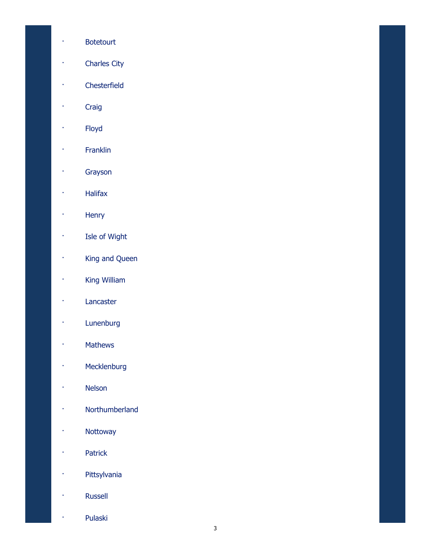- · Botetourt
- · Charles City
- · Chesterfield
- · Craig
- · Floyd
- · Franklin
- · Grayson
- · Halifax
- · Henry
- · Isle of Wight
- · King and Queen
- · King William
- · Lancaster
- · Lunenburg
- · Mathews
- · Mecklenburg
- · Nelson
- · Northumberland
- · Nottoway
- · Patrick
- · Pittsylvania
- · Russell
- · Pulaski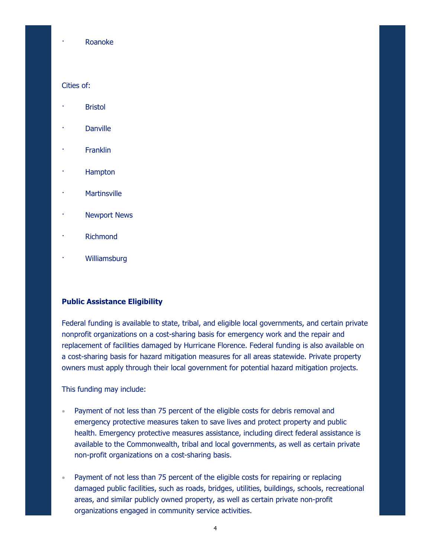#### · Roanoke

#### Cities of:

- **Bristol**
- **Danville**
- **Franklin**
- · Hampton
- **Martinsville**
- **Newport News**
- **Richmond**
- · Williamsburg

#### **Public Assistance Eligibility**

Federal funding is available to state, tribal, and eligible local governments, and certain private nonprofit organizations on a cost-sharing basis for emergency work and the repair and replacement of facilities damaged by Hurricane Florence. Federal funding is also available on a cost-sharing basis for hazard mitigation measures for all areas statewide. Private property owners must apply through their local government for potential hazard mitigation projects.

This funding may include:

- Payment of not less than 75 percent of the eligible costs for debris removal and emergency protective measures taken to save lives and protect property and public health. Emergency protective measures assistance, including direct federal assistance is available to the Commonwealth, tribal and local governments, as well as certain private non-profit organizations on a cost-sharing basis.
- Payment of not less than 75 percent of the eligible costs for repairing or replacing damaged public facilities, such as roads, bridges, utilities, buildings, schools, recreational areas, and similar publicly owned property, as well as certain private non-profit organizations engaged in community service activities.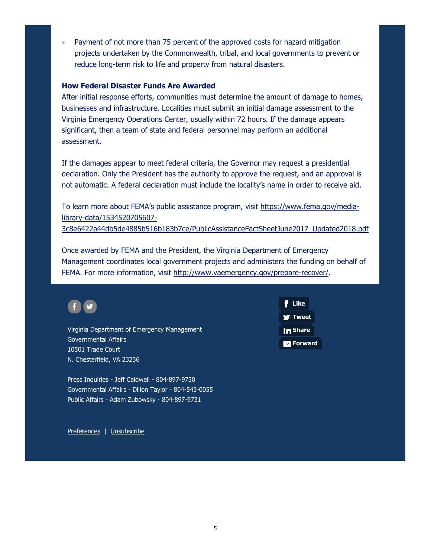Payment of not more than 75 percent of the approved costs for hazard mitigation projects undertaken by the Commonwealth, tribal, and local governments to prevent or reduce long-term risk to life and property from natural disasters. 

#### **How Federal Disaster Funds Are Awarded**

After initial response efforts, communities must determine the amount of damage to homes, businesses and infrastructure. Localities must submit an initial damage assessment to the Virginia Emergency Operations Center, usually within 72 hours. If the damage appears significant, then a team of state and federal personnel may perform an additional assessment.

If the damages appear to meet federal criteria, the Governor may request a presidential declaration. Only the President has the authority to approve the request, and an approval is not automatic. A federal declaration must include the locality's name in order to receive aid.

To learn more about FEMA's public assistance program, visit https://www.fema.gov/medialibrary-data/1534520705607-

3c8e6422a44db5de4885b516b183b7ce/PublicAssistanceFactSheetJune2017\_Updated2018.pdf

Once awarded by FEMA and the President, the Virginia Department of Emergency Management coordinates local government projects and administers the funding on behalf of FEMA. For more information, visit http://www.vaemergency.gov/prepare-recover/.



Virginia Department of Emergency Management Governmental Affairs 10501 Trade Court N. Chesterfield, VA 23236

Press Inquiries - Jeff Caldwell - 804-897-9730 Governmental Affairs - Dillon Taylor - 804-543-0055 Public Affairs - Adam Zubowsky - 804-897-9731



Preferences | Unsubscribe